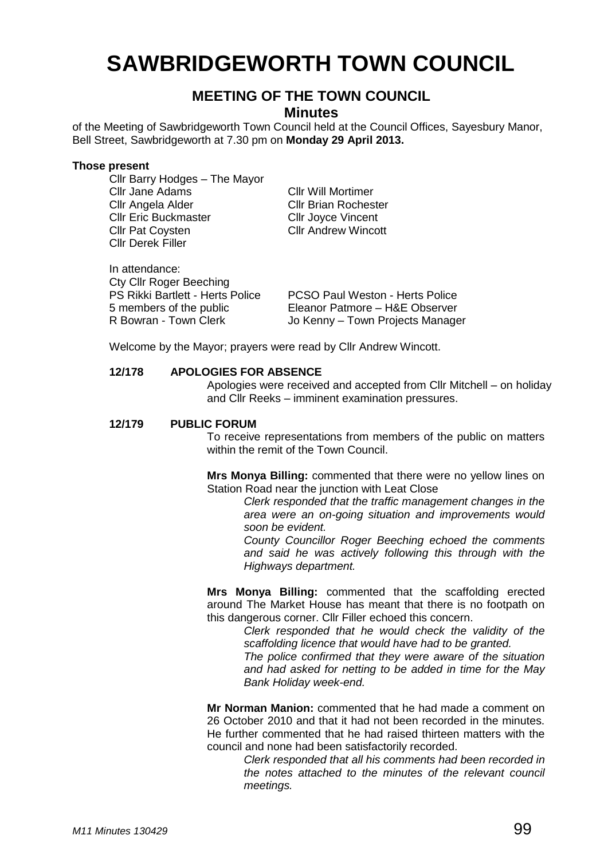# **SAWBRIDGEWORTH TOWN COUNCIL**

## **MEETING OF THE TOWN COUNCIL**

**Minutes**

of the Meeting of Sawbridgeworth Town Council held at the Council Offices, Sayesbury Manor, Bell Street, Sawbridgeworth at 7.30 pm on **Monday 29 April 2013.**

#### **Those present**

Cllr Barry Hodges – The Mayor Cllr Jane Adams Cllr Will Mortimer Cllr Angela Alder Cllr Brian Rochester **Cllr Eric Buckmaster Cllr Joyce Vincent<br>Cllr Pat Coysten Cllr Andrew Wincott** Cllr Pat Covsten Cllr Derek Filler

| In attendance:<br><b>Cty Cllr Roger Beeching</b> |                                        |
|--------------------------------------------------|----------------------------------------|
| <b>PS Rikki Bartlett - Herts Police</b>          | <b>PCSO Paul Weston - Herts Police</b> |
| 5 members of the public                          | Eleanor Patmore - H&E Observer         |
| R Bowran - Town Clerk                            | Jo Kenny - Town Projects Manager       |

Welcome by the Mayor; prayers were read by Cllr Andrew Wincott.

#### **12/178 APOLOGIES FOR ABSENCE**

Apologies were received and accepted from Cllr Mitchell – on holiday and Cllr Reeks – imminent examination pressures.

## **12/179 PUBLIC FORUM**

To receive representations from members of the public on matters within the remit of the Town Council.

**Mrs Monya Billing:** commented that there were no yellow lines on Station Road near the junction with Leat Close

*Clerk responded that the traffic management changes in the area were an on-going situation and improvements would soon be evident.*

*County Councillor Roger Beeching echoed the comments and said he was actively following this through with the Highways department.*

**Mrs Monya Billing:** commented that the scaffolding erected around The Market House has meant that there is no footpath on this dangerous corner. Cllr Filler echoed this concern.

> *Clerk responded that he would check the validity of the scaffolding licence that would have had to be granted.*

> *The police confirmed that they were aware of the situation and had asked for netting to be added in time for the May Bank Holiday week-end.*

**Mr Norman Manion:** commented that he had made a comment on 26 October 2010 and that it had not been recorded in the minutes. He further commented that he had raised thirteen matters with the council and none had been satisfactorily recorded.

> *Clerk responded that all his comments had been recorded in the notes attached to the minutes of the relevant council meetings.*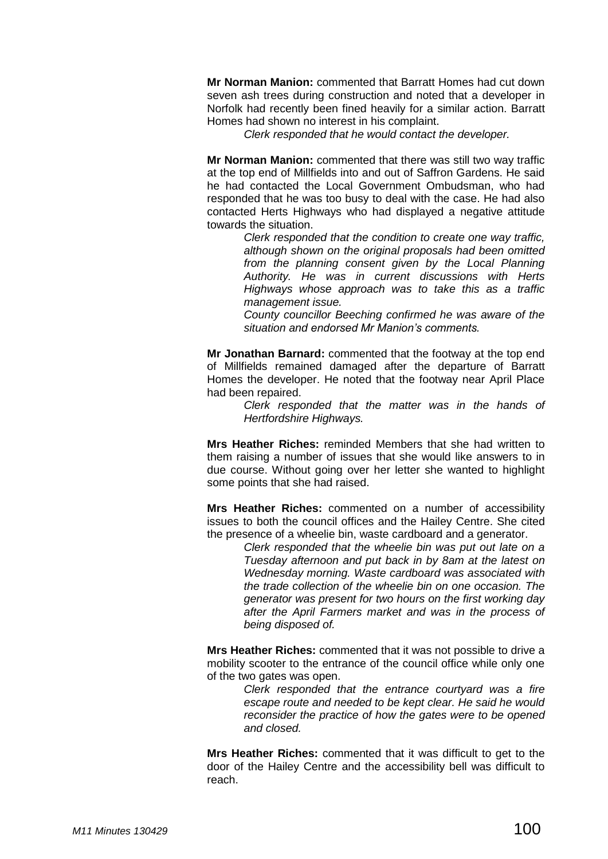**Mr Norman Manion:** commented that Barratt Homes had cut down seven ash trees during construction and noted that a developer in Norfolk had recently been fined heavily for a similar action. Barratt Homes had shown no interest in his complaint.

*Clerk responded that he would contact the developer.*

**Mr Norman Manion:** commented that there was still two way traffic at the top end of Millfields into and out of Saffron Gardens. He said he had contacted the Local Government Ombudsman, who had responded that he was too busy to deal with the case. He had also contacted Herts Highways who had displayed a negative attitude towards the situation.

> *Clerk responded that the condition to create one way traffic, although shown on the original proposals had been omitted from the planning consent given by the Local Planning Authority. He was in current discussions with Herts Highways whose approach was to take this as a traffic management issue.*

> *County councillor Beeching confirmed he was aware of the situation and endorsed Mr Manion's comments.*

**Mr Jonathan Barnard:** commented that the footway at the top end of Millfields remained damaged after the departure of Barratt Homes the developer. He noted that the footway near April Place had been repaired.

> *Clerk responded that the matter was in the hands of Hertfordshire Highways.*

**Mrs Heather Riches:** reminded Members that she had written to them raising a number of issues that she would like answers to in due course. Without going over her letter she wanted to highlight some points that she had raised.

**Mrs Heather Riches:** commented on a number of accessibility issues to both the council offices and the Hailey Centre. She cited the presence of a wheelie bin, waste cardboard and a generator.

> *Clerk responded that the wheelie bin was put out late on a Tuesday afternoon and put back in by 8am at the latest on Wednesday morning. Waste cardboard was associated with the trade collection of the wheelie bin on one occasion. The generator was present for two hours on the first working day after the April Farmers market and was in the process of being disposed of.*

**Mrs Heather Riches:** commented that it was not possible to drive a mobility scooter to the entrance of the council office while only one of the two gates was open.

> *Clerk responded that the entrance courtyard was a fire escape route and needed to be kept clear. He said he would reconsider the practice of how the gates were to be opened and closed.*

**Mrs Heather Riches:** commented that it was difficult to get to the door of the Hailey Centre and the accessibility bell was difficult to reach.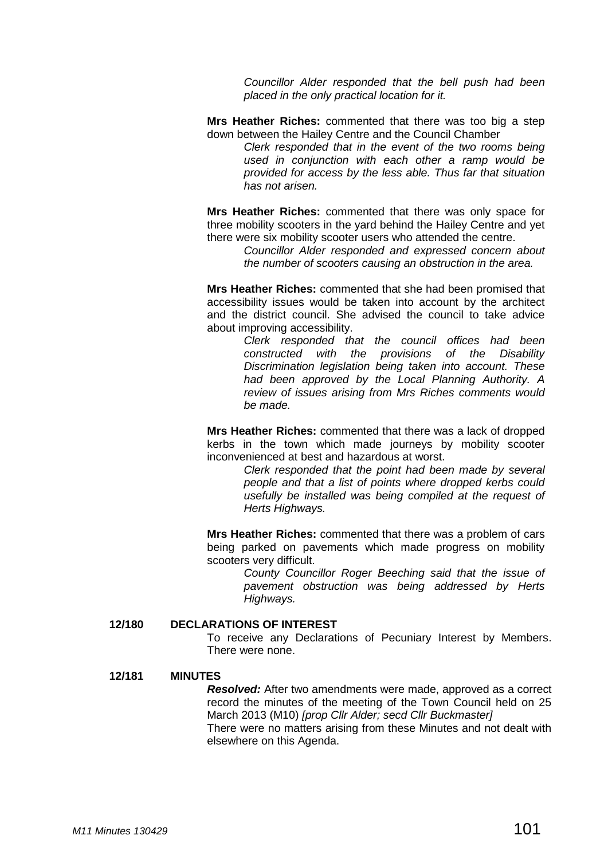*Councillor Alder responded that the bell push had been placed in the only practical location for it.* 

**Mrs Heather Riches:** commented that there was too big a step down between the Hailey Centre and the Council Chamber

> *Clerk responded that in the event of the two rooms being used in conjunction with each other a ramp would be provided for access by the less able. Thus far that situation has not arisen.*

**Mrs Heather Riches:** commented that there was only space for three mobility scooters in the yard behind the Hailey Centre and yet there were six mobility scooter users who attended the centre.

> *Councillor Alder responded and expressed concern about the number of scooters causing an obstruction in the area.*

**Mrs Heather Riches:** commented that she had been promised that accessibility issues would be taken into account by the architect and the district council. She advised the council to take advice about improving accessibility.

> *Clerk responded that the council offices had been constructed with the provisions of the Disability Discrimination legislation being taken into account. These had been approved by the Local Planning Authority. A review of issues arising from Mrs Riches comments would be made.*

**Mrs Heather Riches:** commented that there was a lack of dropped kerbs in the town which made journeys by mobility scooter inconvenienced at best and hazardous at worst.

> *Clerk responded that the point had been made by several people and that a list of points where dropped kerbs could usefully be installed was being compiled at the request of Herts Highways.*

**Mrs Heather Riches:** commented that there was a problem of cars being parked on pavements which made progress on mobility scooters very difficult.

> *County Councillor Roger Beeching said that the issue of pavement obstruction was being addressed by Herts Highways.*

#### **12/180 DECLARATIONS OF INTEREST**

To receive any Declarations of Pecuniary Interest by Members. There were none.

#### **12/181 MINUTES**

*Resolved:* After two amendments were made, approved as a correct record the minutes of the meeting of the Town Council held on 25 March 2013 (M10) *[prop Cllr Alder; secd Cllr Buckmaster]* There were no matters arising from these Minutes and not dealt with elsewhere on this Agenda.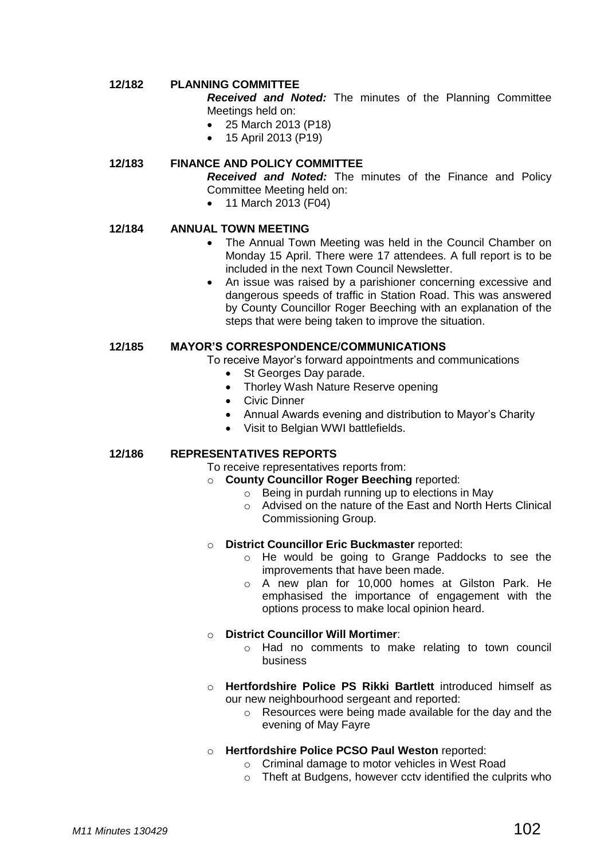## **12/182 PLANNING COMMITTEE**

*Received and Noted:* The minutes of the Planning Committee Meetings held on:

- 25 March 2013 (P18)
- 15 April 2013 (P19)

## **12/183 FINANCE AND POLICY COMMITTEE**

*Received and Noted:* The minutes of the Finance and Policy Committee Meeting held on:

• 11 March 2013 (F04)

## **12/184 ANNUAL TOWN MEETING**

- The Annual Town Meeting was held in the Council Chamber on Monday 15 April. There were 17 attendees. A full report is to be included in the next Town Council Newsletter.
- An issue was raised by a parishioner concerning excessive and dangerous speeds of traffic in Station Road. This was answered by County Councillor Roger Beeching with an explanation of the steps that were being taken to improve the situation.

## **12/185 MAYOR'S CORRESPONDENCE/COMMUNICATIONS**

To receive Mayor's forward appointments and communications

- St Georges Day parade.
- Thorley Wash Nature Reserve opening
- Civic Dinner
- Annual Awards evening and distribution to Mayor's Charity
- Visit to Belgian WWI battlefields.

## **12/186 REPRESENTATIVES REPORTS**

#### To receive representatives reports from:

- o **County Councillor Roger Beeching** reported:
	- o Being in purdah running up to elections in May
	- o Advised on the nature of the East and North Herts Clinical Commissioning Group.

#### o **District Councillor Eric Buckmaster** reported:

- o He would be going to Grange Paddocks to see the improvements that have been made.
- o A new plan for 10,000 homes at Gilston Park. He emphasised the importance of engagement with the options process to make local opinion heard.

## o **District Councillor Will Mortimer**:

- o Had no comments to make relating to town council business
- o **Hertfordshire Police PS Rikki Bartlett** introduced himself as our new neighbourhood sergeant and reported:
	- o Resources were being made available for the day and the evening of May Fayre

## o **Hertfordshire Police PCSO Paul Weston** reported:

- o Criminal damage to motor vehicles in West Road
- o Theft at Budgens, however cctv identified the culprits who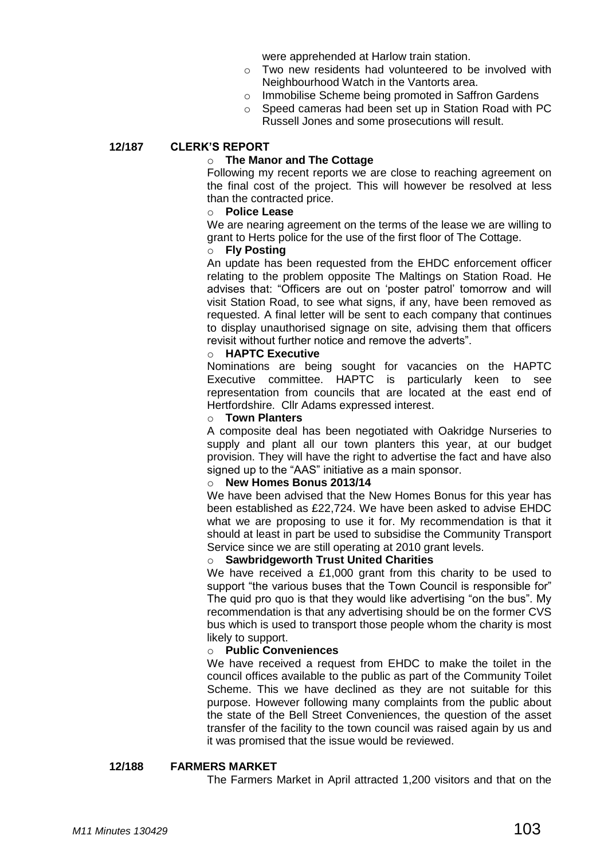were apprehended at Harlow train station.

- o Two new residents had volunteered to be involved with Neighbourhood Watch in the Vantorts area.
- o Immobilise Scheme being promoted in Saffron Gardens
- o Speed cameras had been set up in Station Road with PC Russell Jones and some prosecutions will result.

## **12/187 CLERK'S REPORT**

#### o **The Manor and The Cottage**

Following my recent reports we are close to reaching agreement on the final cost of the project. This will however be resolved at less than the contracted price.

#### o **Police Lease**

We are nearing agreement on the terms of the lease we are willing to grant to Herts police for the use of the first floor of The Cottage.

#### o **Fly Posting**

An update has been requested from the EHDC enforcement officer relating to the problem opposite The Maltings on Station Road. He advises that: "Officers are out on 'poster patrol' tomorrow and will visit Station Road, to see what signs, if any, have been removed as requested. A final letter will be sent to each company that continues to display unauthorised signage on site, advising them that officers revisit without further notice and remove the adverts".

#### o **HAPTC Executive**

Nominations are being sought for vacancies on the HAPTC Executive committee. HAPTC is particularly keen to see representation from councils that are located at the east end of Hertfordshire. Cllr Adams expressed interest.

#### o **Town Planters**

A composite deal has been negotiated with Oakridge Nurseries to supply and plant all our town planters this year, at our budget provision. They will have the right to advertise the fact and have also signed up to the "AAS" initiative as a main sponsor.

#### o **New Homes Bonus 2013/14**

We have been advised that the New Homes Bonus for this year has been established as £22,724. We have been asked to advise EHDC what we are proposing to use it for. My recommendation is that it should at least in part be used to subsidise the Community Transport Service since we are still operating at 2010 grant levels.

#### o **Sawbridgeworth Trust United Charities**

We have received a £1,000 grant from this charity to be used to support "the various buses that the Town Council is responsible for" The quid pro quo is that they would like advertising "on the bus". My recommendation is that any advertising should be on the former CVS bus which is used to transport those people whom the charity is most likely to support.

#### o **Public Conveniences**

We have received a request from EHDC to make the toilet in the council offices available to the public as part of the Community Toilet Scheme. This we have declined as they are not suitable for this purpose. However following many complaints from the public about the state of the Bell Street Conveniences, the question of the asset transfer of the facility to the town council was raised again by us and it was promised that the issue would be reviewed.

#### **12/188 FARMERS MARKET**

The Farmers Market in April attracted 1,200 visitors and that on the